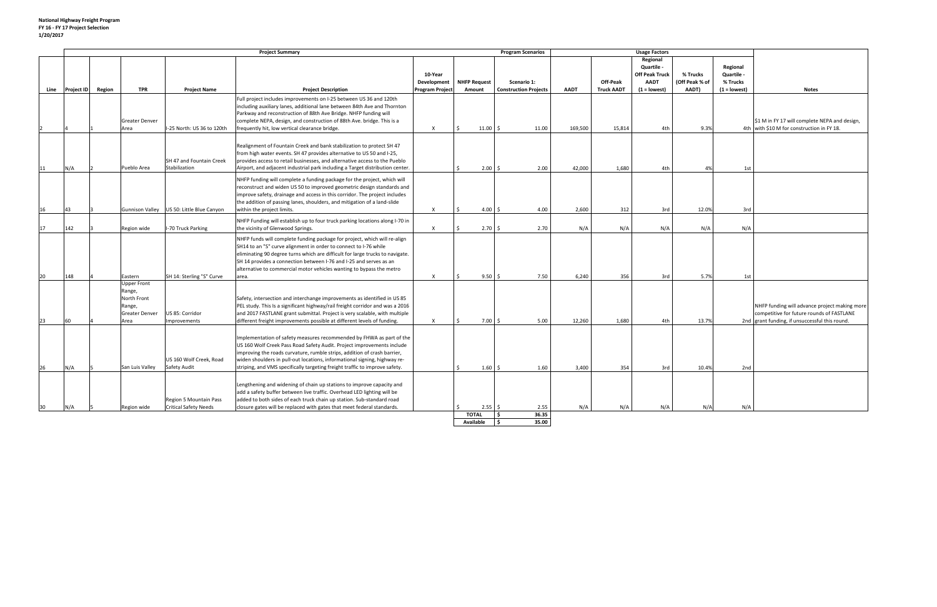|      | <b>Project Summary</b> |        |                                                                                 |                                                        |                                                                                                                                                                                                                                                                                                                                                                                        |                        | <b>Program Scenarios</b>  |                              |                | <b>Usage Factors</b> |                   |                                                                |                            |                                    |                                                                                                                                              |
|------|------------------------|--------|---------------------------------------------------------------------------------|--------------------------------------------------------|----------------------------------------------------------------------------------------------------------------------------------------------------------------------------------------------------------------------------------------------------------------------------------------------------------------------------------------------------------------------------------------|------------------------|---------------------------|------------------------------|----------------|----------------------|-------------------|----------------------------------------------------------------|----------------------------|------------------------------------|----------------------------------------------------------------------------------------------------------------------------------------------|
|      |                        |        |                                                                                 |                                                        |                                                                                                                                                                                                                                                                                                                                                                                        | 10-Year<br>Development | <b>NHFP Request</b>       | Scenario 1:                  |                |                      | Off-Peak          | Regional<br>Quartile -<br><b>Off Peak Truck</b><br><b>AADT</b> | % Trucks<br>(Off Peak % of | Regional<br>Quartile -<br>% Trucks |                                                                                                                                              |
| Line | <b>Project ID</b>      | Region | <b>TPR</b>                                                                      | <b>Project Name</b>                                    | <b>Project Description</b>                                                                                                                                                                                                                                                                                                                                                             | <b>Program Project</b> | Amount                    | <b>Construction Projects</b> |                | <b>AADT</b>          | <b>Truck AADT</b> | $(1 = lowest)$                                                 | AADT)                      | $(1 = lowest)$                     | <b>Notes</b>                                                                                                                                 |
|      |                        |        | <b>Greater Denver</b><br>Area                                                   | -25 North: US 36 to 120th                              | Full project includes improvements on I-25 between US 36 and 120th<br>including auxiliary lanes, additional lane between 84th Ave and Thornton<br>Parkway and reconstruction of 88th Ave Bridge. NHFP funding will<br>complete NEPA, design, and construction of 88th Ave. bridge. This is a<br>frequently hit, low vertical clearance bridge.                                         | $\mathsf{x}$           | 11.00                     | I \$                         | 11.00          | 169,500              | 15,814            | 4th                                                            | 9.3%                       |                                    | \$1 M in FY 17 will complete NEPA and design,<br>4th with \$10 M for construction in FY 18.                                                  |
| 11   | N/A                    |        | Pueblo Area                                                                     | SH 47 and Fountain Creek<br>Stabilization              | Realignment of Fountain Creek and bank stabilization to protect SH 47<br>from high water events. SH 47 provides alternative to US 50 and I-25,<br>provides access to retail businesses, and alternative access to the Pueblo<br>Airport, and adjacent industrial park including a Target distribution center.                                                                          |                        | $\zeta$                   | $2.00 \, \text{S}$           | 2.00           | 42,000               | 1,680             | 4th                                                            | 4%                         | 1st                                |                                                                                                                                              |
| 16   | 43                     |        | <b>Gunnison Valley</b>                                                          | US 50: Little Blue Canyon                              | NHFP funding will complete a funding package for the project, which will<br>reconstruct and widen US 50 to improved geometric design standards and<br>improve safety, drainage and access in this corridor. The project includes<br>the addition of passing lanes, shoulders, and mitigation of a land-slide<br>within the project limits.                                             | $\mathsf{x}$           | 4.00                      | S.                           | 4.00           | 2,600                | 312               | 3rd                                                            | 12.0%                      | 3rd                                |                                                                                                                                              |
| 17   | 142                    |        | Region wide                                                                     | -70 Truck Parking                                      | NHFP Funding will establish up to four truck parking locations along I-70 in<br>the vicinity of Glenwood Springs.                                                                                                                                                                                                                                                                      | $\times$               | $\zeta$                   | $2.70 \,$ \$                 | 2.70           | N/A                  | N/A               | N/A                                                            | N/A                        | N/A                                |                                                                                                                                              |
| 20   | 148                    |        | Eastern                                                                         | SH 14: Sterling "S" Curve                              | NHFP funds will complete funding package for project, which will re-align<br>SH14 to an "S" curve alignment in order to connect to I-76 while<br>eliminating 90 degree turns which are difficult for large trucks to navigate.<br>SH 14 provides a connection between I-76 and I-25 and serves as an<br>alternative to commercial motor vehicles wanting to bypass the metro<br>area.  | $\times$               | 9.50<br>$\zeta$           | S.                           | 7.50           | 6.240                | 356               | 3rd                                                            | 5.7%                       | 1st                                |                                                                                                                                              |
| 23   | 60                     |        | <b>Upper Front</b><br>Range,<br>North Front<br>Range,<br>Greater Denver<br>Area | US 85: Corridor<br>mprovements                         | Safety, intersection and interchange improvements as identified in US 85<br>PEL study. This Is a significant highway/rail freight corridor and was a 2016<br>and 2017 FASTLANE grant submittal. Project is very scalable, with multiple<br>different freight improvements possible at different levels of funding.                                                                     | $\mathsf{x}$           | 7.00                      |                              | 5.00           | 12,260               | 1,680             | 4th                                                            | 13.7%                      |                                    | NHFP funding will advance project making more<br>competitive for future rounds of FASTLANE<br>2nd grant funding, if unsuccessful this round. |
| 26   | N/A                    |        | San Luis Valley                                                                 | US 160 Wolf Creek, Road<br>Safety Audit                | Implementation of safety measures recommended by FHWA as part of the<br>US 160 Wolf Creek Pass Road Safety Audit. Project improvements include<br>improving the roads curvature, rumble strips, addition of crash barrier,<br>widen shoulders in pull-out locations, informational signing, highway re-<br>striping, and VMS specifically targeting freight traffic to improve safety. |                        |                           | $1.60 \,$ \$                 | 1.60           | 3,400                | 354               | 3rd                                                            | 10.4%                      | 2nd                                |                                                                                                                                              |
| 30   | N/A                    |        | Region wide                                                                     | Region 5 Mountain Pass<br><b>Critical Safety Needs</b> | Lengthening and widening of chain up stations to improve capacity and<br>add a safety buffer between live traffic. Overhead LED lighting will be<br>added to both sides of each truck chain up station. Sub-standard road<br>closure gates will be replaced with gates that meet federal standards.                                                                                    |                        |                           | $2.55$ \$                    | 2.55           | N/A                  | N/A               | N/A                                                            | N/A                        | N/A                                |                                                                                                                                              |
|      |                        |        |                                                                                 |                                                        |                                                                                                                                                                                                                                                                                                                                                                                        |                        | <b>TOTAL</b><br>Available | -Ś<br><b>S</b>               | 36.35<br>35.00 |                      |                   |                                                                |                            |                                    |                                                                                                                                              |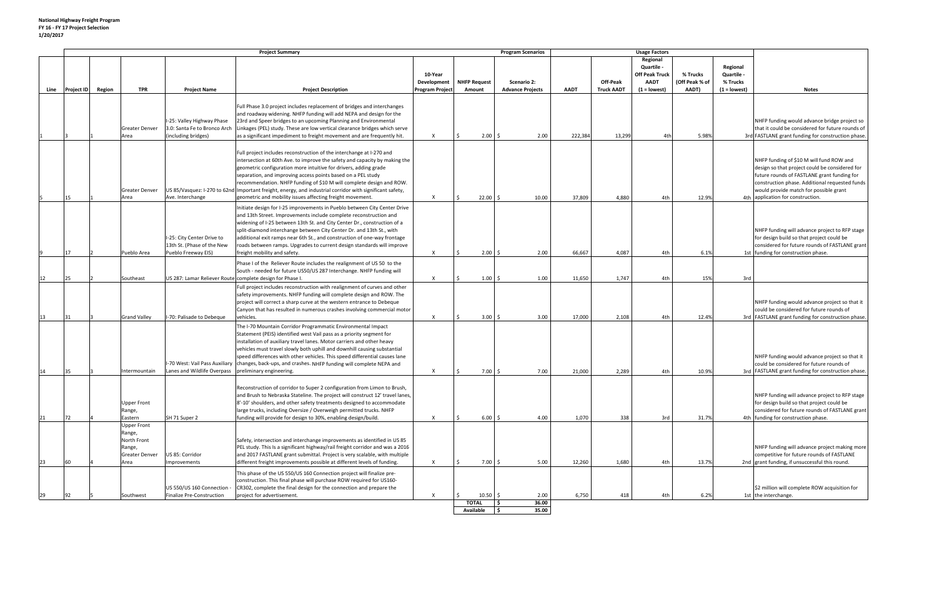|      |                   | <b>Project Summary</b>                                                          |                                                                                  |                                                                                                                                                                                                                                                                                                                                                                                                                                                                                                                                         |                                                  |                                     | <b>Program Scenarios</b>               | <b>Usage Factors</b> |                               |                                                                                  |                                     |                                                      |                                                                                                                                                                                                                                                                            |
|------|-------------------|---------------------------------------------------------------------------------|----------------------------------------------------------------------------------|-----------------------------------------------------------------------------------------------------------------------------------------------------------------------------------------------------------------------------------------------------------------------------------------------------------------------------------------------------------------------------------------------------------------------------------------------------------------------------------------------------------------------------------------|--------------------------------------------------|-------------------------------------|----------------------------------------|----------------------|-------------------------------|----------------------------------------------------------------------------------|-------------------------------------|------------------------------------------------------|----------------------------------------------------------------------------------------------------------------------------------------------------------------------------------------------------------------------------------------------------------------------------|
| Line | Project ID Region | <b>TPR</b>                                                                      |                                                                                  | <b>Project Description</b>                                                                                                                                                                                                                                                                                                                                                                                                                                                                                                              | 10-Year<br>Development<br><b>Program Project</b> | <b>NHFP Request</b><br>Amount       | Scenario 2:<br><b>Advance Projects</b> | <b>AADT</b>          | Off-Peak<br><b>Truck AADT</b> | Regional<br>Quartile -<br><b>Off Peak Truck</b><br><b>AADT</b><br>$(1 =$ lowest) | % Trucks<br>(Off Peak % of<br>AADT) | Regional<br>Quartile -<br>% Trucks<br>$(1 = lowest)$ | <b>Notes</b>                                                                                                                                                                                                                                                               |
|      |                   |                                                                                 | <b>Project Name</b>                                                              |                                                                                                                                                                                                                                                                                                                                                                                                                                                                                                                                         |                                                  |                                     |                                        |                      |                               |                                                                                  |                                     |                                                      |                                                                                                                                                                                                                                                                            |
|      |                   | <b>Greater Denver</b><br>Area                                                   | -25: Valley Highway Phase<br>3.0: Santa Fe to Bronco Arch<br>(including bridges) | Full Phase 3.0 project includes replacement of bridges and interchanges<br>and roadway widening. NHFP funding will add NEPA and design for the<br>23rd and Speer bridges to an upcoming Planning and Environmental<br>Linkages (PEL) study. These are low vertical clearance bridges which serve<br>as a significant impediment to freight movement and are frequently hit.                                                                                                                                                             | X                                                | $2.00 \, \text{S}$                  | 2.00                                   | 222,384              | 13,299                        | 4th                                                                              | 5.98%                               |                                                      | NHFP funding would advance bridge project so<br>that it could be considered for future rounds of<br>3rd FASTLANE grant funding for construction phase.                                                                                                                     |
|      | 15                | <b>Greater Denver</b><br>Area                                                   | Ave. Interchange                                                                 | Full project includes reconstruction of the interchange at I-270 and<br>intersection at 60th Ave. to improve the safety and capacity by making the<br>geometric configuration more intuitive for drivers, adding grade<br>separation, and improving access points based on a PEL study<br>recommendation. NHFP funding of \$10 M will complete design and ROW.<br>US 85/Vasquez: I-270 to 62nd Important freight, energy, and industrial corridor with significant safety,<br>geometric and mobility issues affecting freight movement. | $\times$                                         | 22.00                               | 10.00                                  | 37,809               | 4,880                         | 4th                                                                              | 12.9%                               |                                                      | NHFP funding of \$10 M will fund ROW and<br>design so that project could be considered for<br>future rounds of FASTLANE grant funding for<br>construction phase. Additional requested funds<br>would provide match for possible grant<br>4th application for construction. |
|      | 17                | Pueblo Area                                                                     | I-25: City Center Drive to<br>13th St. (Phase of the New<br>Pueblo Freeway EIS)  | Initiate design for I-25 improvements in Pueblo between City Center Drive<br>and 13th Street. Improvements include complete reconstruction and<br>widening of I-25 between 13th St. and City Center Dr., construction of a<br>split-diamond interchange between City Center Dr. and 13th St., with<br>additional exit ramps near 6th St., and construction of one-way frontage<br>roads between ramps. Upgrades to current design standards will improve<br>freight mobility and safety.                                                | X                                                | 2.00                                | 2.00<br>S.                             | 66,667               | 4,087                         | 4th                                                                              | 6.1%                                |                                                      | NHFP funding will advance project to RFP stage<br>for design build so that project could be<br>considered for future rounds of FASTLANE grant<br>1st funding for construction phase.                                                                                       |
|      |                   |                                                                                 |                                                                                  | Phase I of the Reliever Route includes the realignment of US 50 to the                                                                                                                                                                                                                                                                                                                                                                                                                                                                  |                                                  |                                     |                                        |                      |                               |                                                                                  |                                     |                                                      |                                                                                                                                                                                                                                                                            |
| 12   | 25                | Southeast                                                                       |                                                                                  | South - needed for future US50/US 287 Interchange. NHFP funding will<br>US 287: Lamar Reliever Route complete design for Phase I.                                                                                                                                                                                                                                                                                                                                                                                                       | $\boldsymbol{\mathsf{x}}$                        | 1.00                                | 1.00<br>Ŝ.                             | 11,650               | 1,747                         | 4th                                                                              | 15%                                 | 3rd                                                  |                                                                                                                                                                                                                                                                            |
| 13   | 31                | <b>Grand Valley</b>                                                             | I-70: Palisade to Debeque                                                        | Full project includes reconstruction with realignment of curves and other<br>safety improvements. NHFP funding will complete design and ROW. The<br>project will correct a sharp curve at the western entrance to Debeque<br>Canyon that has resulted in numerous crashes involving commercial motor<br>vehicles.                                                                                                                                                                                                                       | $\times$                                         | $3.00$ \$                           | 3.00                                   | 17,000               | 2,108                         | 4th                                                                              | 12.4%                               |                                                      | NHFP funding would advance project so that it<br>could be considered for future rounds of<br>3rd FASTLANE grant funding for construction phase.                                                                                                                            |
| 14   | 35                | Intermountain                                                                   | Lanes and Wildlife Overpass   preliminary engineering.                           | The I-70 Mountain Corridor Programmatic Environmental Impact<br>Statement (PEIS) identified west Vail pass as a priority segment for<br>installation of auxiliary travel lanes. Motor carriers and other heavy<br>vehicles must travel slowly both uphill and downhill causing substantial<br>speed differences with other vehicles. This speed differential causes lane<br>-70 West: Vail Pass Auxiliary   changes, back-ups, and crashes. NHFP funding will complete NEPA and                                                         | X                                                | $7.00$ \$                           | 7.00                                   | 21,000               | 2,289                         | 4th                                                                              | 10.9%                               |                                                      | NHFP funding would advance project so that it<br>could be considered for future rounds of<br>3rd   FASTLANE grant funding for construction phase.                                                                                                                          |
| 21   | 72                | <b>Upper Front</b><br>Range,<br>Eastern                                         | SH 71 Super 2                                                                    | Reconstruction of corridor to Super 2 configuration from Limon to Brush,<br>and Brush to Nebraska Stateline. The project will construct 12' travel lanes,<br>8'-10' shoulders, and other safety treatments designed to accommodate<br>large trucks, including Oversize / Overweigh permitted trucks. NHFP<br>funding will provide for design to 30%, enabling design/build.                                                                                                                                                             | $\boldsymbol{\mathsf{x}}$                        | 6.00%                               | 4.00                                   | 1,070                | 338                           | 3rd                                                                              | 31.7%                               |                                                      | NHFP funding will advance project to RFP stage<br>for design build so that project could be<br>considered for future rounds of FASTLANE grant<br>4th funding for construction phase.                                                                                       |
| 23   | 60                | <b>Upper Front</b><br>Range,<br>North Front<br>Range,<br>Greater Denver<br>Area | US 85: Corridor<br>Improvements                                                  | Safety, intersection and interchange improvements as identified in US 85<br>PEL study. This Is a significant highway/rail freight corridor and was a 2016<br>and 2017 FASTLANE grant submittal. Project is very scalable, with multiple<br>different freight improvements possible at different levels of funding.                                                                                                                                                                                                                      | $\boldsymbol{\mathsf{x}}$                        | $7.00 \&$                           | 5.00                                   | 12,260               | 1,680                         | 4th                                                                              | 13.7%                               |                                                      | NHFP funding will advance project making more<br>competitive for future rounds of FASTLANE<br>2nd grant funding, if unsuccessful this round.                                                                                                                               |
| 29   | 92                | Southwest                                                                       | US 550/US 160 Connection<br><b>Finalize Pre-Construction</b>                     | This phase of the US 550/US 160 Connection project will finalize pre-<br>construction. This final phase will purchase ROW required for US160-<br>CR302, complete the final design for the connection and prepare the<br>project for advertisement.                                                                                                                                                                                                                                                                                      | X                                                | $10.50 \, \text{S}$<br><b>TOTAL</b> | 2.00<br>I\$<br>36.00                   | 6,750                | 418                           | 4th                                                                              | 6.2%                                |                                                      | \$2 million will complete ROW acquisition for<br>1st the interchange.                                                                                                                                                                                                      |

**Available \$ 35.00**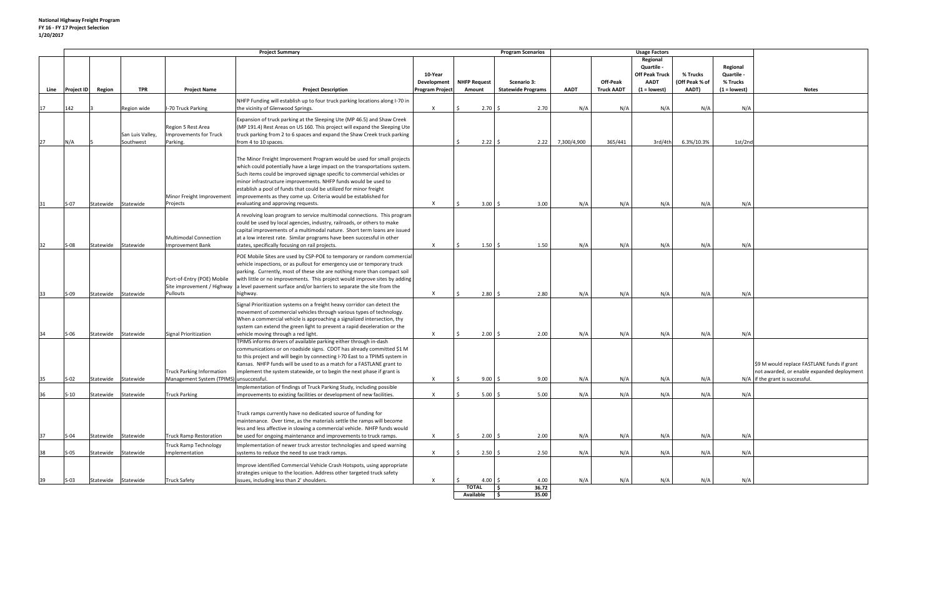|      |                   | <b>Project Summary</b> |                  |                                         |                                                                                                   |                        |                     |                    | <b>Program Scenarios</b>  |             |                   |                       |                |                |                                             |
|------|-------------------|------------------------|------------------|-----------------------------------------|---------------------------------------------------------------------------------------------------|------------------------|---------------------|--------------------|---------------------------|-------------|-------------------|-----------------------|----------------|----------------|---------------------------------------------|
|      |                   |                        |                  |                                         |                                                                                                   |                        |                     |                    |                           |             |                   | Regional              |                |                |                                             |
|      |                   |                        |                  |                                         |                                                                                                   |                        |                     |                    |                           |             |                   | Quartile -            |                | Regional       |                                             |
|      |                   |                        |                  |                                         |                                                                                                   | 10-Year                |                     |                    |                           |             |                   | <b>Off Peak Truck</b> | % Trucks       | Quartile -     |                                             |
|      |                   |                        |                  |                                         |                                                                                                   | Development            | <b>NHFP Request</b> |                    | Scenario 3:               |             | Off-Peak          | <b>AADT</b>           | (Off Peak % of | % Trucks       |                                             |
| Line | <b>Project ID</b> | Region                 | <b>TPR</b>       | <b>Project Name</b>                     | <b>Project Description</b>                                                                        | <b>Program Project</b> | Amount              |                    | <b>Statewide Programs</b> | <b>AADT</b> | <b>Truck AADT</b> | $(1 =$ lowest)        | AADT)          | $(1 = lowest)$ | <b>Notes</b>                                |
|      |                   |                        |                  |                                         |                                                                                                   |                        |                     |                    |                           |             |                   |                       |                |                |                                             |
|      |                   |                        |                  |                                         | NHFP Funding will establish up to four truck parking locations along I-70 in                      |                        |                     |                    |                           |             |                   |                       |                |                |                                             |
| 17   | 142               |                        | Region wide      | -70 Truck Parking                       | the vicinity of Glenwood Springs.                                                                 | $\mathsf{X}$           | 2.70                |                    | 2.70                      | N/A         | N/A               | N/A                   | N/A            | N/A            |                                             |
|      |                   |                        |                  |                                         | Expansion of truck parking at the Sleeping Ute (MP 46.5) and Shaw Creek                           |                        |                     |                    |                           |             |                   |                       |                |                |                                             |
|      |                   |                        |                  | Region 5 Rest Area                      | (MP 191.4) Rest Areas on US 160. This project will expand the Sleeping Ute                        |                        |                     |                    |                           |             |                   |                       |                |                |                                             |
|      |                   |                        | San Luis Valley, | <b>Improvements for Truck</b>           | truck parking from 2 to 6 spaces and expand the Shaw Creek truck parking                          |                        |                     |                    |                           |             |                   |                       |                |                |                                             |
| 27   | N/A               |                        | Southwest        | Parking.                                | from 4 to 10 spaces.                                                                              |                        |                     | $2.22 \,$ \$       | 2.22                      | 7,300/4,900 | 365/441           | 3rd/4th               | 6.3%/10.3%     | 1st/2nd        |                                             |
|      |                   |                        |                  |                                         |                                                                                                   |                        |                     |                    |                           |             |                   |                       |                |                |                                             |
|      |                   |                        |                  |                                         |                                                                                                   |                        |                     |                    |                           |             |                   |                       |                |                |                                             |
|      |                   |                        |                  |                                         | The Minor Freight Improvement Program would be used for small projects                            |                        |                     |                    |                           |             |                   |                       |                |                |                                             |
|      |                   |                        |                  |                                         | which could potentially have a large impact on the transportations system.                        |                        |                     |                    |                           |             |                   |                       |                |                |                                             |
|      |                   |                        |                  |                                         | Such items could be improved signage specific to commercial vehicles or                           |                        |                     |                    |                           |             |                   |                       |                |                |                                             |
|      |                   |                        |                  |                                         | minor infrastructure improvements. NHFP funds would be used to                                    |                        |                     |                    |                           |             |                   |                       |                |                |                                             |
|      |                   |                        |                  |                                         | establish a pool of funds that could be utilized for minor freight                                |                        |                     |                    |                           |             |                   |                       |                |                |                                             |
|      |                   |                        |                  | Minor Freight Improvement               | improvements as they come up. Criteria would be established for                                   |                        |                     |                    |                           |             |                   |                       |                |                |                                             |
| 31   | $S-07$            | Statewide              | Statewide        | Projects                                | evaluating and approving requests.                                                                | $\times$               |                     | $3.00 \, \text{S}$ | 3.00                      | N/A         | N/A               | N/A                   | N/A            | N/A            |                                             |
|      |                   |                        |                  |                                         |                                                                                                   |                        |                     |                    |                           |             |                   |                       |                |                |                                             |
|      |                   |                        |                  |                                         | A revolving loan program to service multimodal connections. This program                          |                        |                     |                    |                           |             |                   |                       |                |                |                                             |
|      |                   |                        |                  |                                         | could be used by local agencies, industry, railroads, or others to make                           |                        |                     |                    |                           |             |                   |                       |                |                |                                             |
|      |                   |                        |                  |                                         | capital improvements of a multimodal nature. Short term loans are issued                          |                        |                     |                    |                           |             |                   |                       |                |                |                                             |
|      |                   |                        |                  | <b>Multimodal Connection</b>            | at a low interest rate. Similar programs have been successful in other                            |                        |                     |                    |                           |             |                   |                       |                |                |                                             |
| 32   | $S-08$            | Statewide              | Statewide        | <b>Improvement Bank</b>                 | states, specifically focusing on rail projects.                                                   | $\mathsf{X}$           |                     | $1.50 \pm 5$       | 1.50                      | N/A         | N/A               | N/A                   | N/A            | N/A            |                                             |
|      |                   |                        |                  |                                         |                                                                                                   |                        |                     |                    |                           |             |                   |                       |                |                |                                             |
|      |                   |                        |                  |                                         | POE Mobile Sites are used by CSP-POE to temporary or random commercial                            |                        |                     |                    |                           |             |                   |                       |                |                |                                             |
|      |                   |                        |                  |                                         | vehicle inspections, or as pullout for emergency use or temporary truck                           |                        |                     |                    |                           |             |                   |                       |                |                |                                             |
|      |                   |                        |                  |                                         | parking. Currently, most of these site are nothing more than compact soil                         |                        |                     |                    |                           |             |                   |                       |                |                |                                             |
|      |                   |                        |                  | Port-of-Entry (POE) Mobile              | with little or no improvements. This project would improve sites by adding                        |                        |                     |                    |                           |             |                   |                       |                |                |                                             |
|      |                   |                        |                  |                                         | Site improvement / Highway a level pavement surface and/or barriers to separate the site from the |                        |                     |                    |                           |             |                   |                       |                |                |                                             |
| 33   | $S-09$            | Statewide              | Statewide        | Pullouts                                | highway.                                                                                          | $\mathsf{X}$           |                     | $2.80 \div$        | 2.80                      | N/A         | N/A               | N/A                   | N/A            | N/A            |                                             |
|      |                   |                        |                  |                                         |                                                                                                   |                        |                     |                    |                           |             |                   |                       |                |                |                                             |
|      |                   |                        |                  |                                         | Signal Prioritization systems on a freight heavy corridor can detect the                          |                        |                     |                    |                           |             |                   |                       |                |                |                                             |
|      |                   |                        |                  |                                         | movement of commercial vehicles through various types of technology.                              |                        |                     |                    |                           |             |                   |                       |                |                |                                             |
|      |                   |                        |                  |                                         | When a commercial vehicle is approaching a signalized intersection, thy                           |                        |                     |                    |                           |             |                   |                       |                |                |                                             |
|      |                   |                        |                  |                                         | system can extend the green light to prevent a rapid deceleration or the                          |                        |                     |                    |                           |             |                   |                       |                |                |                                             |
| 34   | $S-06$            | Statewide              | Statewide        | <b>Signal Prioritization</b>            | vehicle moving through a red light.                                                               | $\mathsf{X}$           | 2.00                |                    | 2.00                      | N/A         | N/A               | N/A                   | N/A            | N/A            |                                             |
|      |                   |                        |                  |                                         | TPIMS informs drivers of available parking either through in-dash                                 |                        |                     |                    |                           |             |                   |                       |                |                |                                             |
|      |                   |                        |                  |                                         | communications or on roadside signs. CDOT has already committed \$1 M                             |                        |                     |                    |                           |             |                   |                       |                |                |                                             |
|      |                   |                        |                  |                                         | to this project and will begin by connecting I-70 East to a TPIMS system in                       |                        |                     |                    |                           |             |                   |                       |                |                |                                             |
|      |                   |                        |                  |                                         | Kansas. NHFP funds will be used to as a match for a FASTLANE grant to                             |                        |                     |                    |                           |             |                   |                       |                |                | \$9 M would replace FASTLANE funds if grant |
|      |                   |                        |                  | <b>Truck Parking Information</b>        | implement the system statewide, or to begin the next phase if grant is                            |                        |                     |                    |                           |             |                   |                       |                |                | not awarded, or enable expanded deployment  |
| 35   | $S-02$            | Statewide              | Statewide        | Management System (TPIMS) unsuccessful. |                                                                                                   | X                      | 9.00                |                    | 9.00                      | N/A         | N/A               | N/A                   | N/A            |                | N/A if the grant is successful.             |
|      |                   |                        |                  |                                         | Implementation of findings of Truck Parking Study, including possible                             |                        |                     |                    |                           |             |                   |                       |                |                |                                             |
|      |                   |                        |                  |                                         |                                                                                                   |                        |                     |                    |                           |             |                   |                       |                |                |                                             |
|      | $S-10$            | Statewide Statewide    |                  | <b>Truck Parking</b>                    | improvements to existing facilities or development of new facilities.                             | X                      |                     | $5.00$ \$          | 5.00                      | N/A         | N/A               | N/A                   | N/A            | N/A            |                                             |
|      |                   |                        |                  |                                         |                                                                                                   |                        |                     |                    |                           |             |                   |                       |                |                |                                             |
|      |                   |                        |                  |                                         | Truck ramps currently have no dedicated source of funding for                                     |                        |                     |                    |                           |             |                   |                       |                |                |                                             |
|      |                   |                        |                  |                                         | maintenance. Over time, as the materials settle the ramps will become                             |                        |                     |                    |                           |             |                   |                       |                |                |                                             |
|      |                   |                        |                  |                                         | less and less affective in slowing a commercial vehicle. NHFP funds would                         |                        |                     |                    |                           |             |                   |                       |                |                |                                             |
|      | $S-04$            | Statewide              | Statewide        | <b>Truck Ramp Restoration</b>           |                                                                                                   | X                      |                     | $2.00\frac{1}{5}$  | 2.00                      | N/A         | N/A               | N/A                   | N/A            | N/A            |                                             |
| 37   |                   |                        |                  |                                         | be used for ongoing maintenance and improvements to truck ramps.                                  |                        |                     |                    |                           |             |                   |                       |                |                |                                             |
|      |                   |                        |                  | <b>Truck Ramp Technology</b>            | Implementation of newer truck arrestor technologies and speed warning                             |                        |                     |                    |                           |             |                   |                       |                |                |                                             |
| 38   | $S-05$            | Statewide              | Statewide        | Implementation                          | systems to reduce the need to use track ramps.                                                    | $\mathsf{X}$           |                     | $2.50 \div$        | 2.50                      | N/A         | N/A               | N/A                   | N/A            | N/A            |                                             |
|      |                   |                        |                  |                                         |                                                                                                   |                        |                     |                    |                           |             |                   |                       |                |                |                                             |
|      |                   |                        |                  |                                         | Improve identified Commercial Vehicle Crash Hotspots, using appropriate                           |                        |                     |                    |                           |             |                   |                       |                |                |                                             |
|      |                   |                        |                  |                                         | strategies unique to the location. Address other targeted truck safety                            |                        |                     |                    |                           |             |                   |                       |                |                |                                             |
| 39   | $S-03$            | Statewide Statewide    |                  | <b>Truck Safety</b>                     | issues, including less than 2' shoulders.                                                         | $\mathsf{X}$           |                     | 4.00 \$            | 4.00                      | N/A         | N/A               | N/A                   | N/A            | N/A            |                                             |
|      |                   |                        |                  |                                         |                                                                                                   |                        | <b>TOTAL</b>        | $\vert$ \$         | 36.72                     |             |                   |                       |                |                |                                             |

**Available \$ 35.00**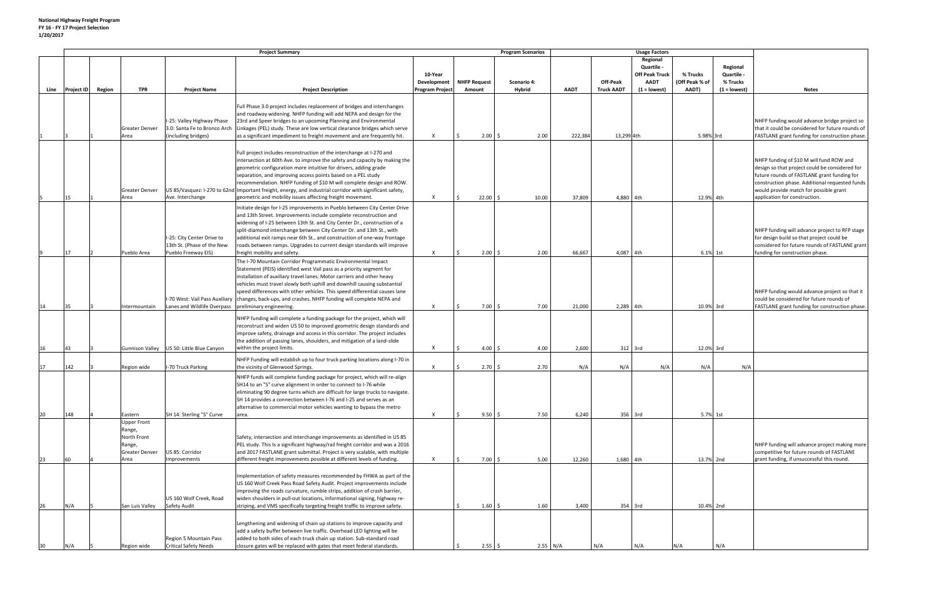|      |                   | <b>Project Summary</b> |                                                                         |                                                                                 |                                                                                                                                                                                                                                                                                                                                                                                                                                                                                                                                         |                           |                     | <b>Program Scenarios</b> |             |                               |                                                                         |                         |                            |                                                                                                                                                                                                                                                                        |
|------|-------------------|------------------------|-------------------------------------------------------------------------|---------------------------------------------------------------------------------|-----------------------------------------------------------------------------------------------------------------------------------------------------------------------------------------------------------------------------------------------------------------------------------------------------------------------------------------------------------------------------------------------------------------------------------------------------------------------------------------------------------------------------------------|---------------------------|---------------------|--------------------------|-------------|-------------------------------|-------------------------------------------------------------------------|-------------------------|----------------------------|------------------------------------------------------------------------------------------------------------------------------------------------------------------------------------------------------------------------------------------------------------------------|
|      |                   |                        |                                                                         |                                                                                 |                                                                                                                                                                                                                                                                                                                                                                                                                                                                                                                                         | 10-Year                   |                     |                          |             |                               | <b>Usage Factors</b><br>Regional<br>Quartile -<br><b>Off Peak Truck</b> | % Trucks                | Regional<br>Quartile -     |                                                                                                                                                                                                                                                                        |
|      | <b>Project ID</b> |                        |                                                                         |                                                                                 |                                                                                                                                                                                                                                                                                                                                                                                                                                                                                                                                         | Development               | <b>NHFP Request</b> | Scenario 4:<br>Hybrid    | <b>AADT</b> | Off-Peak<br><b>Truck AADT</b> | <b>AADT</b><br>$(1 =$ lowest)                                           | (Off Peak % of<br>AADT) | % Trucks<br>$(1 = lowest)$ |                                                                                                                                                                                                                                                                        |
| Line |                   | Region                 | <b>TPR</b>                                                              | <b>Project Name</b>                                                             | <b>Project Description</b>                                                                                                                                                                                                                                                                                                                                                                                                                                                                                                              | <b>Program Project</b>    | Amount              |                          |             |                               |                                                                         |                         |                            | <b>Notes</b>                                                                                                                                                                                                                                                           |
|      |                   |                        | <b>Greater Denver</b>                                                   | I-25: Valley Highway Phase<br>3.0: Santa Fe to Bronco Arch                      | Full Phase 3.0 project includes replacement of bridges and interchanges<br>and roadway widening. NHFP funding will add NEPA and design for the<br>23rd and Speer bridges to an upcoming Planning and Environmental<br>Linkages (PEL) study. These are low vertical clearance bridges which serve                                                                                                                                                                                                                                        |                           |                     |                          |             |                               |                                                                         |                         |                            | NHFP funding would advance bridge project so<br>that it could be considered for future rounds of                                                                                                                                                                       |
|      |                   |                        | Area                                                                    | (including bridges)                                                             | as a significant impediment to freight movement and are frequently hit.                                                                                                                                                                                                                                                                                                                                                                                                                                                                 | X                         | $2.00 \, \text{S}$  | 2.00                     | 222,384     | 13,299 4th                    |                                                                         | 5.98% 3rd               |                            | FASTLANE grant funding for construction phase.                                                                                                                                                                                                                         |
|      | 15                |                        | <b>Greater Denver</b><br>Area                                           | Ave. Interchange                                                                | Full project includes reconstruction of the interchange at I-270 and<br>intersection at 60th Ave. to improve the safety and capacity by making the<br>geometric configuration more intuitive for drivers, adding grade<br>separation, and improving access points based on a PEL study<br>recommendation. NHFP funding of \$10 M will complete design and ROW.<br>US 85/Vasquez: I-270 to 62nd Important freight, energy, and industrial corridor with significant safety,<br>geometric and mobility issues affecting freight movement. | $\boldsymbol{\mathsf{x}}$ | $22.00$ \$          | 10.00                    | 37,809      | 4,880 4th                     |                                                                         | 12.9% 4th               |                            | NHFP funding of \$10 M will fund ROW and<br>design so that project could be considered for<br>future rounds of FASTLANE grant funding for<br>construction phase. Additional requested funds<br>would provide match for possible grant<br>application for construction. |
|      |                   |                        |                                                                         |                                                                                 |                                                                                                                                                                                                                                                                                                                                                                                                                                                                                                                                         |                           |                     |                          |             |                               |                                                                         |                         |                            |                                                                                                                                                                                                                                                                        |
|      | 17                |                        | Pueblo Area                                                             | I-25: City Center Drive to<br>13th St. (Phase of the New<br>Pueblo Freeway EIS) | Initiate design for I-25 improvements in Pueblo between City Center Drive<br>and 13th Street. Improvements include complete reconstruction and<br>widening of I-25 between 13th St. and City Center Dr., construction of a<br>split-diamond interchange between City Center Dr. and 13th St., with<br>additional exit ramps near 6th St., and construction of one-way frontage<br>roads between ramps. Upgrades to current design standards will improve<br>freight mobility and safety.                                                | X                         | 2.00<br>I S.        | 2.00                     | 66,667      | 4,087                         | 4th                                                                     | 6.1% 1st                |                            | NHFP funding will advance project to RFP stage<br>for design build so that project could be<br>considered for future rounds of FASTLANE grant<br>funding for construction phase.                                                                                       |
| 14   | 35                |                        | Intermountain                                                           | Lanes and Wildlife Overpass                                                     | The I-70 Mountain Corridor Programmatic Environmental Impact<br>Statement (PEIS) identified west Vail pass as a priority segment for<br>installation of auxiliary travel lanes. Motor carriers and other heavy<br>vehicles must travel slowly both uphill and downhill causing substantial<br>speed differences with other vehicles. This speed differential causes lane<br>I-70 West: Vail Pass Auxiliary  changes, back-ups, and crashes. NHFP funding will complete NEPA and<br>preliminary engineering.                             | X                         | $7.00$ \$           | 7.00                     | 21,000      | 2,289 4th                     |                                                                         | 10.9% 3rd               |                            | NHFP funding would advance project so that it<br>could be considered for future rounds of<br>FASTLANE grant funding for construction phase.                                                                                                                            |
| 16   | 43                |                        |                                                                         | Gunnison Valley US 50: Little Blue Canyon                                       | NHFP funding will complete a funding package for the project, which will<br>reconstruct and widen US 50 to improved geometric design standards and<br>improve safety, drainage and access in this corridor. The project includes<br>the addition of passing lanes, shoulders, and mitigation of a land-slide<br>within the project limits.                                                                                                                                                                                              | $\mathsf{x}$              | $4.00\frac{1}{5}$   | 4.00                     | 2,600       |                               | 312 3rd                                                                 | 12.0% 3rd               |                            |                                                                                                                                                                                                                                                                        |
|      |                   |                        |                                                                         |                                                                                 |                                                                                                                                                                                                                                                                                                                                                                                                                                                                                                                                         |                           |                     |                          |             |                               |                                                                         |                         |                            |                                                                                                                                                                                                                                                                        |
| 17   | 142               |                        | Region wide                                                             | I-70 Truck Parking                                                              | NHFP Funding will establish up to four truck parking locations along I-70 in<br>the vicinity of Glenwood Springs.                                                                                                                                                                                                                                                                                                                                                                                                                       | $\boldsymbol{\mathsf{x}}$ | $2.70 \, \text{S}$  | 2.70                     | N/A         | N/A                           | N/A                                                                     | N/A                     | N/A                        |                                                                                                                                                                                                                                                                        |
| 20   | 148               |                        | Eastern                                                                 | SH 14: Sterling "S" Curve                                                       | NHFP funds will complete funding package for project, which will re-align<br>SH14 to an "S" curve alignment in order to connect to I-76 while<br>eliminating 90 degree turns which are difficult for large trucks to navigate.<br>SH 14 provides a connection between I-76 and I-25 and serves as an<br>alternative to commercial motor vehicles wanting to bypass the metro<br>area.                                                                                                                                                   | $\boldsymbol{\mathsf{x}}$ | $9.50 \; \simeq$    | 7.50                     | 6,240       |                               | 356 3rd                                                                 | 5.7% 1st                |                            |                                                                                                                                                                                                                                                                        |
|      |                   |                        | <b>Upper Front</b><br>Range,<br>North Front<br>Range,<br>Greater Denver | US 85: Corridor                                                                 | Safety, intersection and interchange improvements as identified in US 85<br>PEL study. This Is a significant highway/rail freight corridor and was a 2016<br>and 2017 FASTLANE grant submittal. Project is very scalable, with multiple                                                                                                                                                                                                                                                                                                 |                           |                     |                          |             |                               |                                                                         |                         |                            | NHFP funding will advance project making more<br>competitive for future rounds of FASTLANE                                                                                                                                                                             |
| 23   | 60                |                        | Area                                                                    | Improvements                                                                    | different freight improvements possible at different levels of funding.                                                                                                                                                                                                                                                                                                                                                                                                                                                                 | $\boldsymbol{\mathsf{x}}$ | $7.00 \&$           | 5.00                     | 12,260      | 1,680 4th                     |                                                                         | 13.7% 2nd               |                            | grant funding, if unsuccessful this round.                                                                                                                                                                                                                             |
| 26   | N/A               |                        | San Luis Valley                                                         | US 160 Wolf Creek, Road<br><b>Safety Audit</b>                                  | Implementation of safety measures recommended by FHWA as part of the<br>US 160 Wolf Creek Pass Road Safety Audit. Project improvements include<br>improving the roads curvature, rumble strips, addition of crash barrier,<br>widen shoulders in pull-out locations, informational signing, highway re-<br>striping, and VMS specifically targeting freight traffic to improve safety.                                                                                                                                                  |                           | $1.60 \pm 5$        | 1.60                     | 3,400       | 354 3rd                       |                                                                         | 10.4% 2nd               |                            |                                                                                                                                                                                                                                                                        |
| 30   | N/A               |                        | Region wide                                                             | Region 5 Mountain Pass<br><b>Critical Safety Needs</b>                          | Lengthening and widening of chain up stations to improve capacity and<br>add a safety buffer between live traffic. Overhead LED lighting will be<br>added to both sides of each truck chain up station. Sub-standard road<br>closure gates will be replaced with gates that meet federal standards.                                                                                                                                                                                                                                     |                           | $2.55$ \$           |                          | 2.55 N/A    | N/A                           | N/A                                                                     | N/A                     | N/A                        |                                                                                                                                                                                                                                                                        |